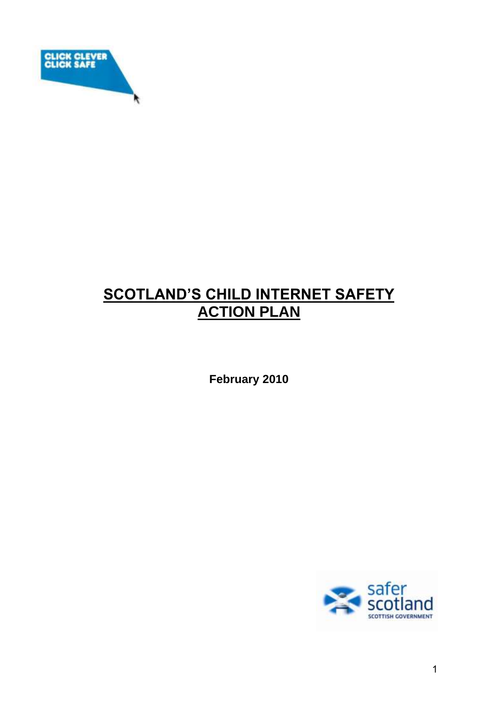

# **SCOTLAND'S CHILD INTERNET SAFETY ACTION PLAN**

**February 2010** 

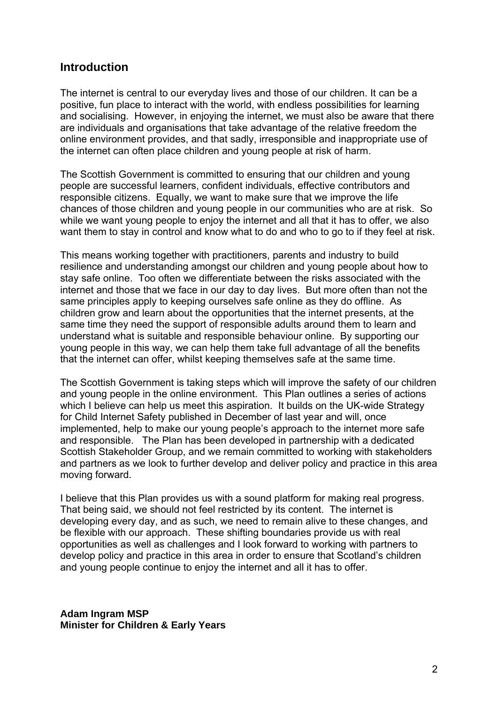### **Introduction**

The internet is central to our everyday lives and those of our children. It can be a positive, fun place to interact with the world, with endless possibilities for learning and socialising. However, in enjoying the internet, we must also be aware that there are individuals and organisations that take advantage of the relative freedom the online environment provides, and that sadly, irresponsible and inappropriate use of the internet can often place children and young people at risk of harm.

The Scottish Government is committed to ensuring that our children and young people are successful learners, confident individuals, effective contributors and responsible citizens. Equally, we want to make sure that we improve the life chances of those children and young people in our communities who are at risk. So while we want young people to enjoy the internet and all that it has to offer, we also want them to stay in control and know what to do and who to go to if they feel at risk.

This means working together with practitioners, parents and industry to build resilience and understanding amongst our children and young people about how to stay safe online. Too often we differentiate between the risks associated with the internet and those that we face in our day to day lives. But more often than not the same principles apply to keeping ourselves safe online as they do offline. As children grow and learn about the opportunities that the internet presents, at the same time they need the support of responsible adults around them to learn and understand what is suitable and responsible behaviour online. By supporting our young people in this way, we can help them take full advantage of all the benefits that the internet can offer, whilst keeping themselves safe at the same time.

The Scottish Government is taking steps which will improve the safety of our children and young people in the online environment. This Plan outlines a series of actions which I believe can help us meet this aspiration. It builds on the UK-wide Strategy for Child Internet Safety published in December of last year and will, once implemented, help to make our young people's approach to the internet more safe and responsible. The Plan has been developed in partnership with a dedicated Scottish Stakeholder Group, and we remain committed to working with stakeholders and partners as we look to further develop and deliver policy and practice in this area moving forward.

I believe that this Plan provides us with a sound platform for making real progress. That being said, we should not feel restricted by its content. The internet is developing every day, and as such, we need to remain alive to these changes, and be flexible with our approach. These shifting boundaries provide us with real opportunities as well as challenges and I look forward to working with partners to develop policy and practice in this area in order to ensure that Scotland's children and young people continue to enjoy the internet and all it has to offer.

**Adam Ingram MSP Minister for Children & Early Years**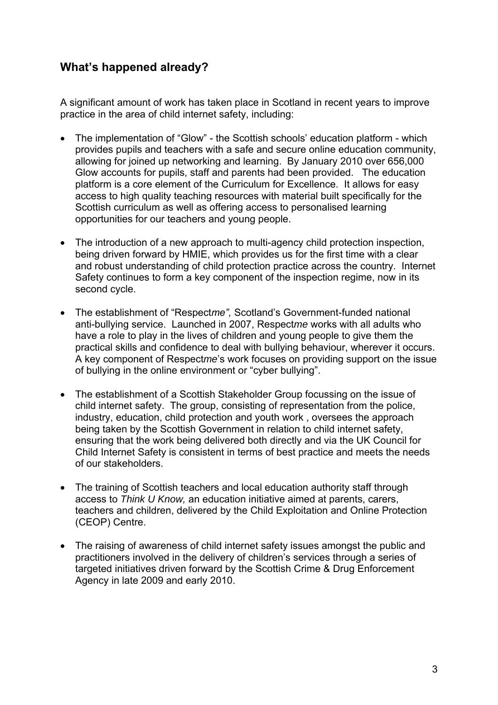# **What's happened already?**

A significant amount of work has taken place in Scotland in recent years to improve practice in the area of child internet safety, including:

- The implementation of "Glow" the Scottish schools' education platform which provides pupils and teachers with a safe and secure online education community, allowing for joined up networking and learning. By January 2010 over 656,000 Glow accounts for pupils, staff and parents had been provided. The education platform is a core element of the Curriculum for Excellence. It allows for easy access to high quality teaching resources with material built specifically for the Scottish curriculum as well as offering access to personalised learning opportunities for our teachers and young people.
- The introduction of a new approach to multi-agency child protection inspection, being driven forward by HMIE, which provides us for the first time with a clear and robust understanding of child protection practice across the country. Internet Safety continues to form a key component of the inspection regime, now in its second cycle.
- The establishment of "Respect*me",* Scotland's Government-funded national anti-bullying service. Launched in 2007, Respect*me* works with all adults who have a role to play in the lives of children and young people to give them the practical skills and confidence to deal with bullying behaviour, wherever it occurs. A key component of Respect*me*'s work focuses on providing support on the issue of bullying in the online environment or "cyber bullying".
- The establishment of a Scottish Stakeholder Group focussing on the issue of child internet safety. The group, consisting of representation from the police, industry, education, child protection and youth work , oversees the approach being taken by the Scottish Government in relation to child internet safety, ensuring that the work being delivered both directly and via the UK Council for Child Internet Safety is consistent in terms of best practice and meets the needs of our stakeholders.
- The training of Scottish teachers and local education authority staff through access to *Think U Know,* an education initiative aimed at parents, carers, teachers and children, delivered by the Child Exploitation and Online Protection (CEOP) Centre.
- The raising of awareness of child internet safety issues amongst the public and practitioners involved in the delivery of children's services through a series of targeted initiatives driven forward by the Scottish Crime & Drug Enforcement Agency in late 2009 and early 2010.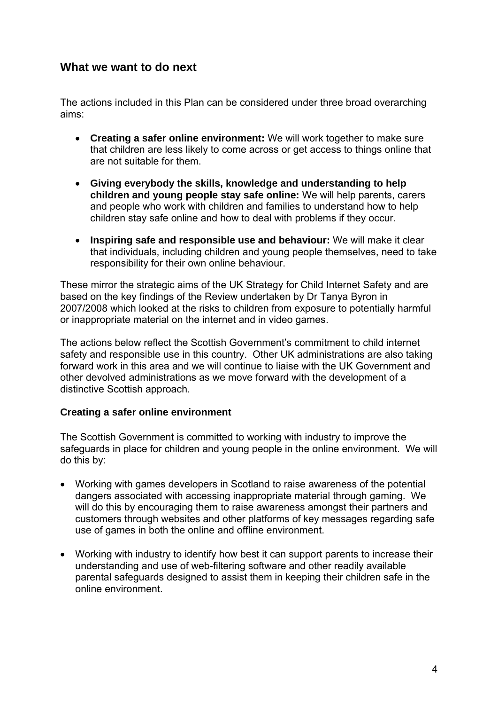## **What we want to do next**

The actions included in this Plan can be considered under three broad overarching aims:

- **Creating a safer online environment:** We will work together to make sure that children are less likely to come across or get access to things online that are not suitable for them.
- **Giving everybody the skills, knowledge and understanding to help children and young people stay safe online:** We will help parents, carers and people who work with children and families to understand how to help children stay safe online and how to deal with problems if they occur.
- **Inspiring safe and responsible use and behaviour:** We will make it clear that individuals, including children and young people themselves, need to take responsibility for their own online behaviour.

These mirror the strategic aims of the UK Strategy for Child Internet Safety and are based on the key findings of the Review undertaken by Dr Tanya Byron in 2007/2008 which looked at the risks to children from exposure to potentially harmful or inappropriate material on the internet and in video games.

The actions below reflect the Scottish Government's commitment to child internet safety and responsible use in this country. Other UK administrations are also taking forward work in this area and we will continue to liaise with the UK Government and other devolved administrations as we move forward with the development of a distinctive Scottish approach.

#### **Creating a safer online environment**

The Scottish Government is committed to working with industry to improve the safeguards in place for children and young people in the online environment. We will do this by:

- Working with games developers in Scotland to raise awareness of the potential dangers associated with accessing inappropriate material through gaming. We will do this by encouraging them to raise awareness amongst their partners and customers through websites and other platforms of key messages regarding safe use of games in both the online and offline environment.
- Working with industry to identify how best it can support parents to increase their understanding and use of web-filtering software and other readily available parental safeguards designed to assist them in keeping their children safe in the online environment.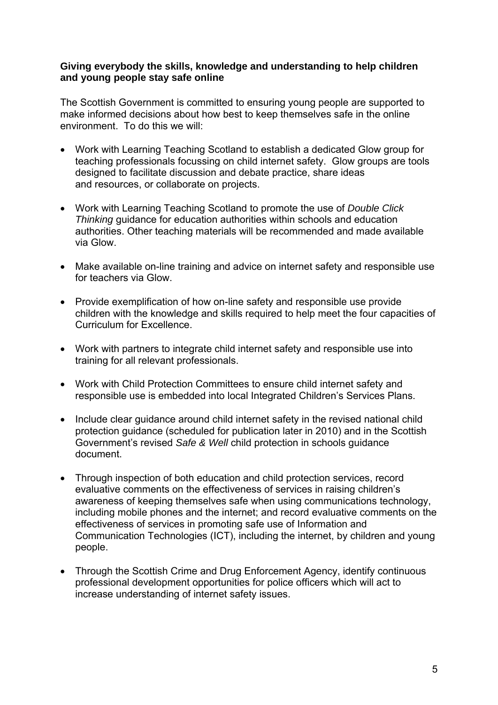#### **Giving everybody the skills, knowledge and understanding to help children and young people stay safe online**

The Scottish Government is committed to ensuring young people are supported to make informed decisions about how best to keep themselves safe in the online environment. To do this we will:

- Work with Learning Teaching Scotland to establish a dedicated Glow group for teaching professionals focussing on child internet safety. Glow groups are tools designed to facilitate discussion and debate practice, share ideas and resources, or collaborate on projects.
- Work with Learning Teaching Scotland to promote the use of *Double Click Thinking* guidance for education authorities within schools and education authorities. Other teaching materials will be recommended and made available via Glow.
- Make available on-line training and advice on internet safety and responsible use for teachers via Glow.
- Provide exemplification of how on-line safety and responsible use provide children with the knowledge and skills required to help meet the four capacities of Curriculum for Excellence.
- Work with partners to integrate child internet safety and responsible use into training for all relevant professionals.
- Work with Child Protection Committees to ensure child internet safety and responsible use is embedded into local Integrated Children's Services Plans.
- Include clear quidance around child internet safety in the revised national child protection guidance (scheduled for publication later in 2010) and in the Scottish Government's revised *Safe & Well* child protection in schools guidance document.
- Through inspection of both education and child protection services, record evaluative comments on the effectiveness of services in raising children's awareness of keeping themselves safe when using communications technology, including mobile phones and the internet; and record evaluative comments on the effectiveness of services in promoting safe use of Information and Communication Technologies (ICT), including the internet, by children and young people.
- Through the Scottish Crime and Drug Enforcement Agency, identify continuous professional development opportunities for police officers which will act to increase understanding of internet safety issues.